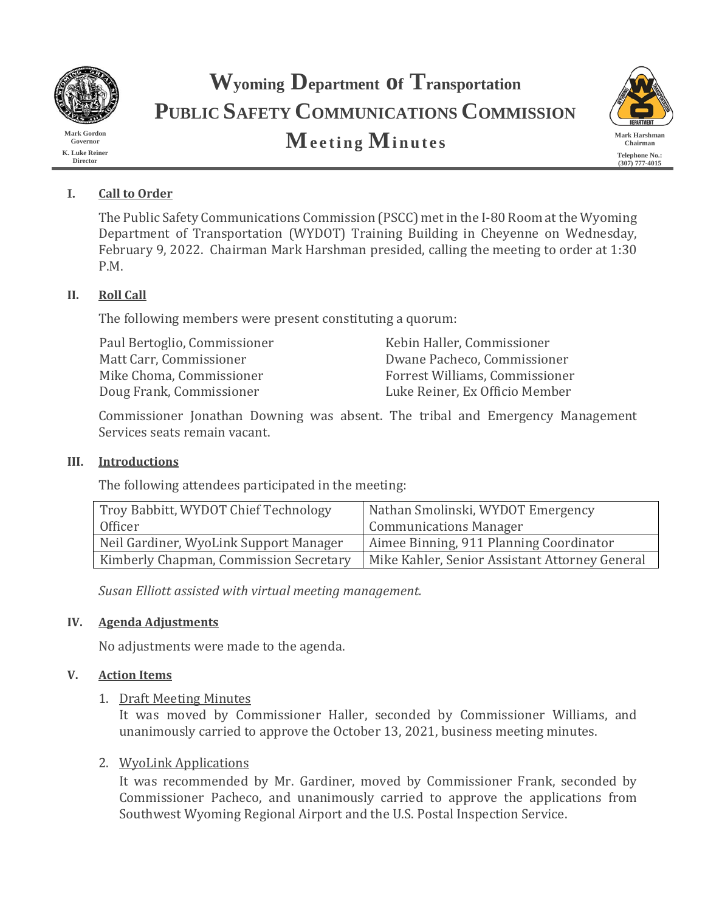

**Mark Gordon Governor K. Luke Reiner Director**

# **Wyoming Department of Transportation PUBLIC SAFETY COMMUNICATIONS COMMISSION Meeting Minutes Mark Harshman**



# **I. Call to Order**

The Public Safety Communications Commission (PSCC) met in the I-80 Room at the Wyoming Department of Transportation (WYDOT) Training Building in Cheyenne on Wednesday, February 9, 2022. Chairman Mark Harshman presided, calling the meeting to order at 1:30 P.M.

# **II. Roll Call**

The following members were present constituting a quorum:

Paul Bertoglio, Commissioner Kebin Haller, Commissioner Doug Frank, Commissioner

Matt Carr, Commissioner Dwane Pacheco, Commissioner Forrest Williams, Commissioner<br>Luke Reiner, Ex Officio Member

Commissioner Jonathan Downing was absent. The tribal and Emergency Management Services seats remain vacant.

## **III. Introductions**

The following attendees participated in the meeting:

| Troy Babbitt, WYDOT Chief Technology   | Nathan Smolinski, WYDOT Emergency              |
|----------------------------------------|------------------------------------------------|
| Officer                                | <b>Communications Manager</b>                  |
| Neil Gardiner, WyoLink Support Manager | Aimee Binning, 911 Planning Coordinator        |
| Kimberly Chapman, Commission Secretary | Mike Kahler, Senior Assistant Attorney General |

*Susan Elliott assisted with virtual meeting management.*

## **IV. Agenda Adjustments**

No adjustments were made to the agenda.

# **V. Action Items**

## 1. Draft Meeting Minutes

It was moved by Commissioner Haller, seconded by Commissioner Williams, and unanimously carried to approve the October 13, 2021, business meeting minutes.

# 2. WyoLink Applications

It was recommended by Mr. Gardiner, moved by Commissioner Frank, seconded by Commissioner Pacheco, and unanimously carried to approve the applications from Southwest Wyoming Regional Airport and the U.S. Postal Inspection Service.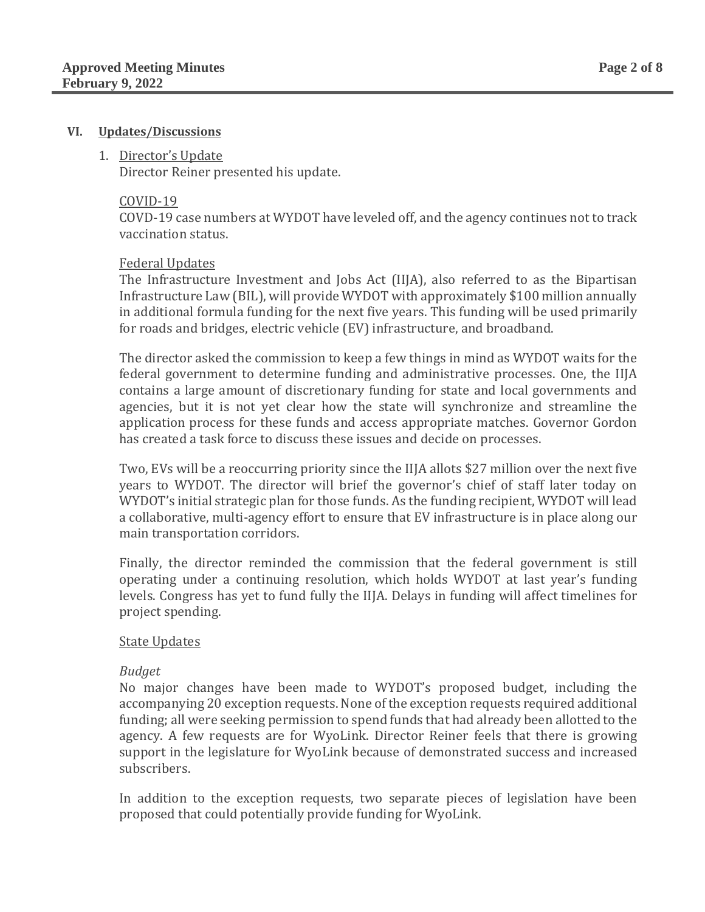#### **VI. Updates/Discussions**

#### 1. Director's Update

Director Reiner presented his update.

#### COVID-19

COVD-19 case numbers at WYDOT have leveled off, and the agency continues not to track vaccination status.

#### Federal Updates

The Infrastructure Investment and Jobs Act (IIJA), also referred to as the Bipartisan Infrastructure Law (BIL), will provide WYDOT with approximately \$100 million annually in additional formula funding for the next five years. This funding will be used primarily for roads and bridges, electric vehicle (EV) infrastructure, and broadband.

The director asked the commission to keep a few things in mind as WYDOT waits for the federal government to determine funding and administrative processes. One, the IIJA contains a large amount of discretionary funding for state and local governments and agencies, but it is not yet clear how the state will synchronize and streamline the application process for these funds and access appropriate matches. Governor Gordon has created a task force to discuss these issues and decide on processes.

Two, EVs will be a reoccurring priority since the IIJA allots \$27 million over the next five years to WYDOT. The director will brief the governor's chief of staff later today on WYDOT's initial strategic plan for those funds. As the funding recipient, WYDOT will lead a collaborative, multi-agency effort to ensure that EV infrastructure is in place along our main transportation corridors.

Finally, the director reminded the commission that the federal government is still operating under a continuing resolution, which holds WYDOT at last year's funding levels. Congress has yet to fund fully the IIJA. Delays in funding will affect timelines for project spending.

#### State Updates

#### *Budget*

No major changes have been made to WYDOT's proposed budget, including the accompanying 20 exception requests. None of the exception requests required additional funding; all were seeking permission to spend funds that had already been allotted to the agency. A few requests are for WyoLink. Director Reiner feels that there is growing support in the legislature for WyoLink because of demonstrated success and increased subscribers.

In addition to the exception requests, two separate pieces of legislation have been proposed that could potentially provide funding for WyoLink.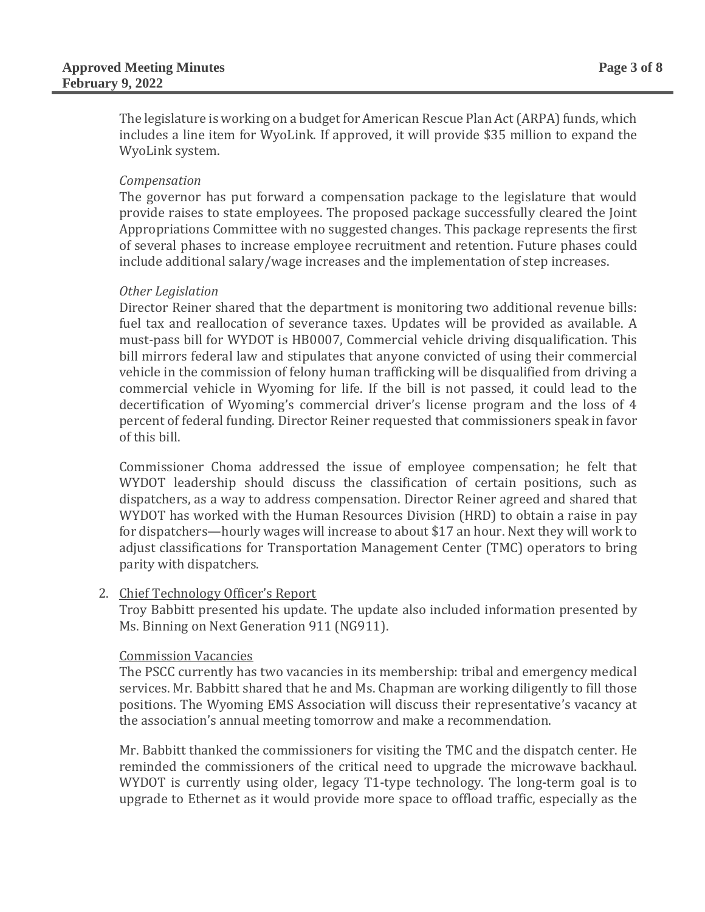The legislature is working on a budget for American Rescue Plan Act (ARPA) funds, which includes a line item for WyoLink. If approved, it will provide \$35 million to expand the WyoLink system.

#### *Compensation*

The governor has put forward a compensation package to the legislature that would provide raises to state employees. The proposed package successfully cleared the Joint Appropriations Committee with no suggested changes. This package represents the first of several phases to increase employee recruitment and retention. Future phases could include additional salary/wage increases and the implementation of step increases.

#### *Other Legislation*

Director Reiner shared that the department is monitoring two additional revenue bills: fuel tax and reallocation of severance taxes. Updates will be provided as available. A must-pass bill for WYDOT is HB0007, Commercial vehicle driving disqualification. This bill mirrors federal law and stipulates that anyone convicted of using their commercial vehicle in the commission of felony human trafficking will be disqualified from driving a commercial vehicle in Wyoming for life. If the bill is not passed, it could lead to the decertification of Wyoming's commercial driver's license program and the loss of 4 percent of federal funding. Director Reiner requested that commissioners speak in favor of this bill.

Commissioner Choma addressed the issue of employee compensation; he felt that WYDOT leadership should discuss the classification of certain positions, such as dispatchers, as a way to address compensation. Director Reiner agreed and shared that WYDOT has worked with the Human Resources Division (HRD) to obtain a raise in pay for dispatchers—hourly wages will increase to about \$17 an hour. Next they will work to adjust classifications for Transportation Management Center (TMC) operators to bring parity with dispatchers.

## 2. Chief Technology Officer's Report

Troy Babbitt presented his update. The update also included information presented by Ms. Binning on Next Generation 911 (NG911).

#### Commission Vacancies

The PSCC currently has two vacancies in its membership: tribal and emergency medical services. Mr. Babbitt shared that he and Ms. Chapman are working diligently to fill those positions. The Wyoming EMS Association will discuss their representative's vacancy at the association's annual meeting tomorrow and make a recommendation.

Mr. Babbitt thanked the commissioners for visiting the TMC and the dispatch center. He reminded the commissioners of the critical need to upgrade the microwave backhaul. WYDOT is currently using older, legacy T1-type technology. The long-term goal is to upgrade to Ethernet as it would provide more space to offload traffic, especially as the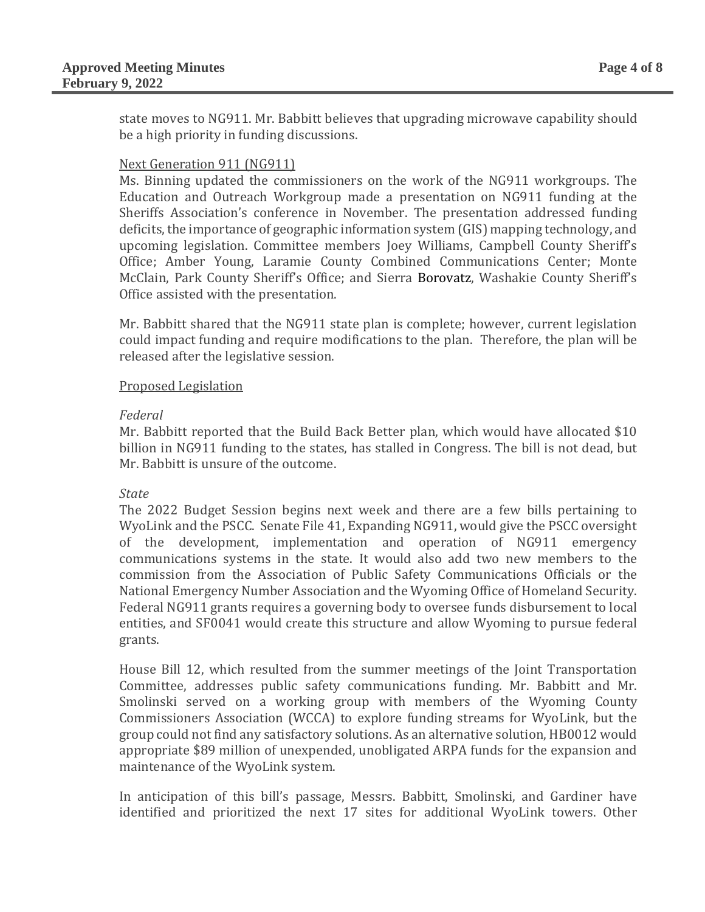state moves to NG911. Mr. Babbitt believes that upgrading microwave capability should be a high priority in funding discussions.

## Next Generation 911 (NG911)

Ms. Binning updated the commissioners on the work of the NG911 workgroups. The Education and Outreach Workgroup made a presentation on NG911 funding at the Sheriffs Association's conference in November. The presentation addressed funding deficits, the importance of geographic information system (GIS) mapping technology, and upcoming legislation. Committee members Joey Williams, Campbell County Sheriff's Office; Amber Young, Laramie County Combined Communications Center; Monte McClain, Park County Sheriff's Office; and Sierra Borovatz, Washakie County Sheriff's Office assisted with the presentation.

Mr. Babbitt shared that the NG911 state plan is complete; however, current legislation could impact funding and require modifications to the plan. Therefore, the plan will be released after the legislative session.

#### Proposed Legislation

#### *Federal*

Mr. Babbitt reported that the Build Back Better plan, which would have allocated \$10 billion in NG911 funding to the states, has stalled in Congress. The bill is not dead, but Mr. Babbitt is unsure of the outcome.

#### *State*

The 2022 Budget Session begins next week and there are a few bills pertaining to WyoLink and the PSCC. Senate File 41, Expanding NG911, would give the PSCC oversight of the development, implementation and operation of NG911 emergency communications systems in the state. It would also add two new members to the commission from the Association of Public Safety Communications Officials or the National Emergency Number Association and the Wyoming Office of Homeland Security. Federal NG911 grants requires a governing body to oversee funds disbursement to local entities, and SF0041 would create this structure and allow Wyoming to pursue federal grants.

House Bill 12, which resulted from the summer meetings of the Joint Transportation Committee, addresses public safety communications funding. Mr. Babbitt and Mr. Smolinski served on a working group with members of the Wyoming County Commissioners Association (WCCA) to explore funding streams for WyoLink, but the group could not find any satisfactory solutions. As an alternative solution, HB0012 would appropriate \$89 million of unexpended, unobligated ARPA funds for the expansion and maintenance of the WyoLink system.

In anticipation of this bill's passage, Messrs. Babbitt, Smolinski, and Gardiner have identified and prioritized the next 17 sites for additional WyoLink towers. Other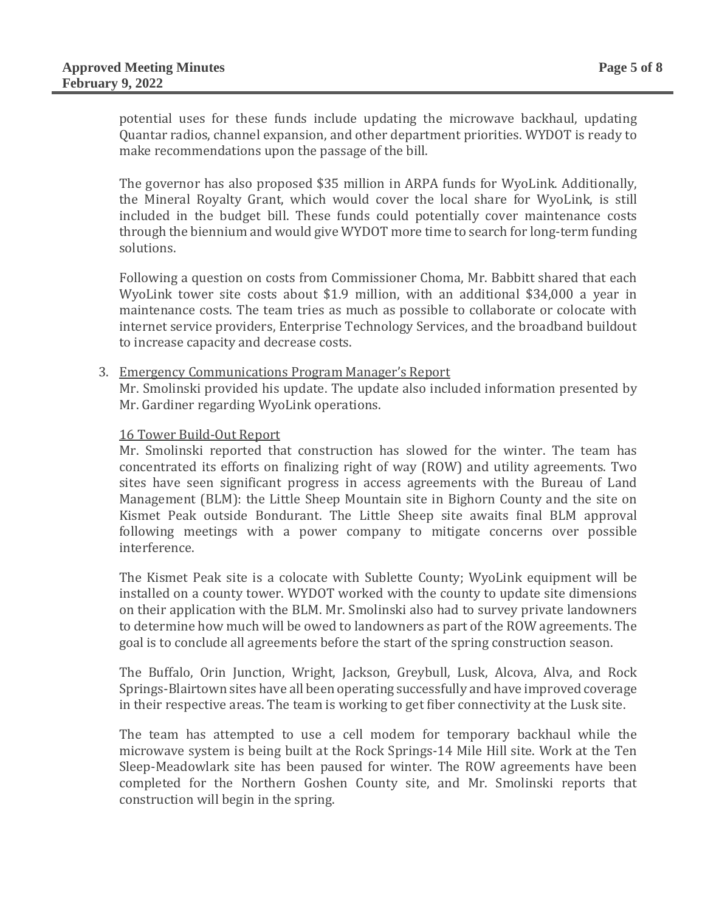potential uses for these funds include updating the microwave backhaul, updating Quantar radios, channel expansion, and other department priorities. WYDOT is ready to make recommendations upon the passage of the bill.

The governor has also proposed \$35 million in ARPA funds for WyoLink. Additionally, the Mineral Royalty Grant, which would cover the local share for WyoLink, is still included in the budget bill. These funds could potentially cover maintenance costs through the biennium and would give WYDOT more time to search for long-term funding solutions.

Following a question on costs from Commissioner Choma, Mr. Babbitt shared that each WyoLink tower site costs about \$1.9 million, with an additional \$34,000 a year in maintenance costs. The team tries as much as possible to collaborate or colocate with internet service providers, Enterprise Technology Services, and the broadband buildout to increase capacity and decrease costs.

#### 3. Emergency Communications Program Manager's Report

Mr. Smolinski provided his update. The update also included information presented by Mr. Gardiner regarding WyoLink operations.

#### 16 Tower Build-Out Report

Mr. Smolinski reported that construction has slowed for the winter. The team has concentrated its efforts on finalizing right of way (ROW) and utility agreements. Two sites have seen significant progress in access agreements with the Bureau of Land Management (BLM): the Little Sheep Mountain site in Bighorn County and the site on Kismet Peak outside Bondurant. The Little Sheep site awaits final BLM approval following meetings with a power company to mitigate concerns over possible interference.

The Kismet Peak site is a colocate with Sublette County; WyoLink equipment will be installed on a county tower. WYDOT worked with the county to update site dimensions on their application with the BLM. Mr. Smolinski also had to survey private landowners to determine how much will be owed to landowners as part of the ROW agreements. The goal is to conclude all agreements before the start of the spring construction season.

The Buffalo, Orin Junction, Wright, Jackson, Greybull, Lusk, Alcova, Alva, and Rock Springs-Blairtown sites have all been operating successfully and have improved coverage in their respective areas. The team is working to get fiber connectivity at the Lusk site.

The team has attempted to use a cell modem for temporary backhaul while the microwave system is being built at the Rock Springs-14 Mile Hill site. Work at the Ten Sleep-Meadowlark site has been paused for winter. The ROW agreements have been completed for the Northern Goshen County site, and Mr. Smolinski reports that construction will begin in the spring.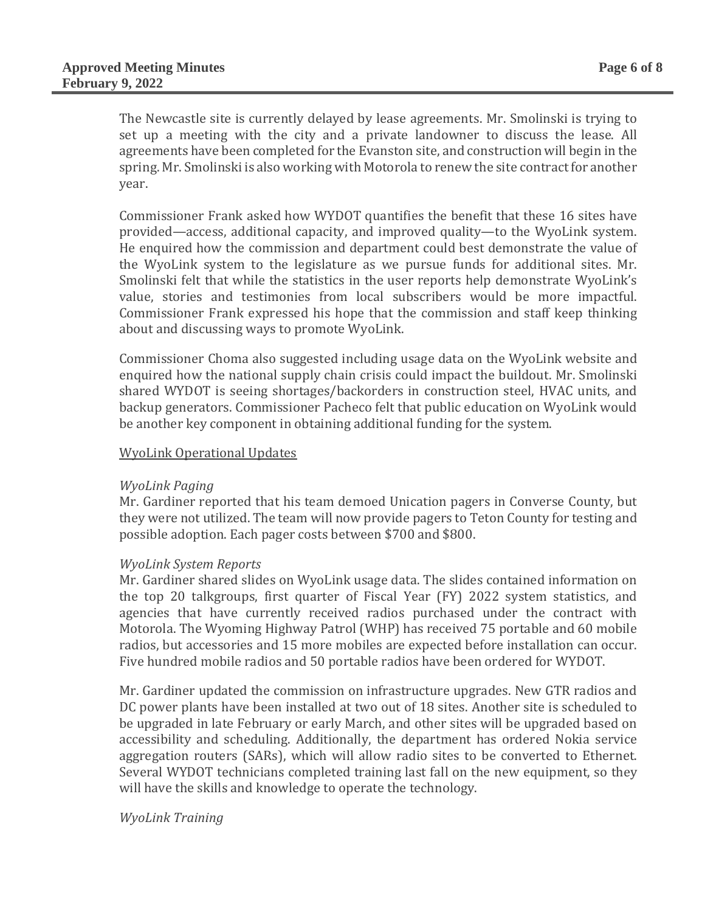The Newcastle site is currently delayed by lease agreements. Mr. Smolinski is trying to set up a meeting with the city and a private landowner to discuss the lease. All agreements have been completed for the Evanston site, and construction will begin in the spring. Mr. Smolinski is also working with Motorola to renew the site contract for another year.

Commissioner Frank asked how WYDOT quantifies the benefit that these 16 sites have provided—access, additional capacity, and improved quality—to the WyoLink system. He enquired how the commission and department could best demonstrate the value of the WyoLink system to the legislature as we pursue funds for additional sites. Mr. Smolinski felt that while the statistics in the user reports help demonstrate WyoLink's value, stories and testimonies from local subscribers would be more impactful. Commissioner Frank expressed his hope that the commission and staff keep thinking about and discussing ways to promote WyoLink.

Commissioner Choma also suggested including usage data on the WyoLink website and enquired how the national supply chain crisis could impact the buildout. Mr. Smolinski shared WYDOT is seeing shortages/backorders in construction steel, HVAC units, and backup generators. Commissioner Pacheco felt that public education on WyoLink would be another key component in obtaining additional funding for the system.

## WyoLink Operational Updates

#### *WyoLink Paging*

Mr. Gardiner reported that his team demoed Unication pagers in Converse County, but they were not utilized. The team will now provide pagers to Teton County for testing and possible adoption. Each pager costs between \$700 and \$800.

## *WyoLink System Reports*

Mr. Gardiner shared slides on WyoLink usage data. The slides contained information on the top 20 talkgroups, first quarter of Fiscal Year (FY) 2022 system statistics, and agencies that have currently received radios purchased under the contract with Motorola. The Wyoming Highway Patrol (WHP) has received 75 portable and 60 mobile radios, but accessories and 15 more mobiles are expected before installation can occur. Five hundred mobile radios and 50 portable radios have been ordered for WYDOT.

Mr. Gardiner updated the commission on infrastructure upgrades. New GTR radios and DC power plants have been installed at two out of 18 sites. Another site is scheduled to be upgraded in late February or early March, and other sites will be upgraded based on accessibility and scheduling. Additionally, the department has ordered Nokia service aggregation routers (SARs), which will allow radio sites to be converted to Ethernet. Several WYDOT technicians completed training last fall on the new equipment, so they will have the skills and knowledge to operate the technology.

## *WyoLink Training*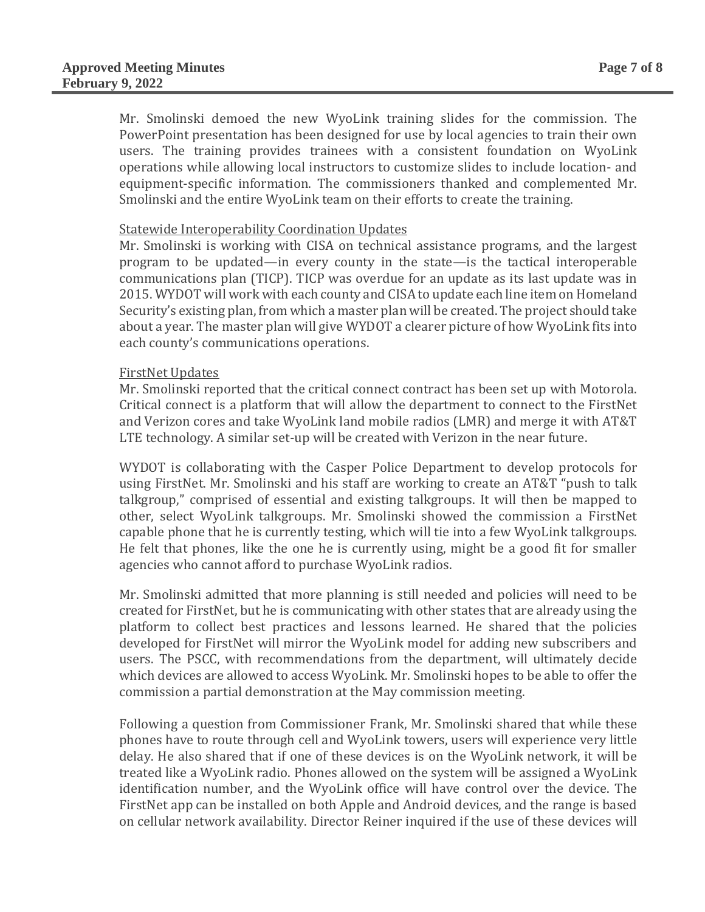Mr. Smolinski demoed the new WyoLink training slides for the commission. The PowerPoint presentation has been designed for use by local agencies to train their own users. The training provides trainees with a consistent foundation on WyoLink operations while allowing local instructors to customize slides to include location- and equipment-specific information. The commissioners thanked and complemented Mr. Smolinski and the entire WyoLink team on their efforts to create the training.

## Statewide Interoperability Coordination Updates

Mr. Smolinski is working with CISA on technical assistance programs, and the largest program to be updated—in every county in the state—is the tactical interoperable communications plan (TICP). TICP was overdue for an update as its last update was in 2015. WYDOT will work with each county and CISA to update each line item on Homeland Security's existing plan, from which a master plan will be created. The project should take about a year. The master plan will give WYDOT a clearer picture of how WyoLink fits into each county's communications operations.

#### FirstNet Updates

Mr. Smolinski reported that the critical connect contract has been set up with Motorola. Critical connect is a platform that will allow the department to connect to the FirstNet and Verizon cores and take WyoLink land mobile radios (LMR) and merge it with AT&T LTE technology. A similar set-up will be created with Verizon in the near future.

WYDOT is collaborating with the Casper Police Department to develop protocols for using FirstNet. Mr. Smolinski and his staff are working to create an AT&T "push to talk talkgroup," comprised of essential and existing talkgroups. It will then be mapped to other, select WyoLink talkgroups. Mr. Smolinski showed the commission a FirstNet capable phone that he is currently testing, which will tie into a few WyoLink talkgroups. He felt that phones, like the one he is currently using, might be a good fit for smaller agencies who cannot afford to purchase WyoLink radios.

Mr. Smolinski admitted that more planning is still needed and policies will need to be created for FirstNet, but he is communicating with other states that are already using the platform to collect best practices and lessons learned. He shared that the policies developed for FirstNet will mirror the WyoLink model for adding new subscribers and users. The PSCC, with recommendations from the department, will ultimately decide which devices are allowed to access WyoLink. Mr. Smolinski hopes to be able to offer the commission a partial demonstration at the May commission meeting.

Following a question from Commissioner Frank, Mr. Smolinski shared that while these phones have to route through cell and WyoLink towers, users will experience very little delay. He also shared that if one of these devices is on the WyoLink network, it will be treated like a WyoLink radio. Phones allowed on the system will be assigned a WyoLink identification number, and the WyoLink office will have control over the device. The FirstNet app can be installed on both Apple and Android devices, and the range is based on cellular network availability. Director Reiner inquired if the use of these devices will